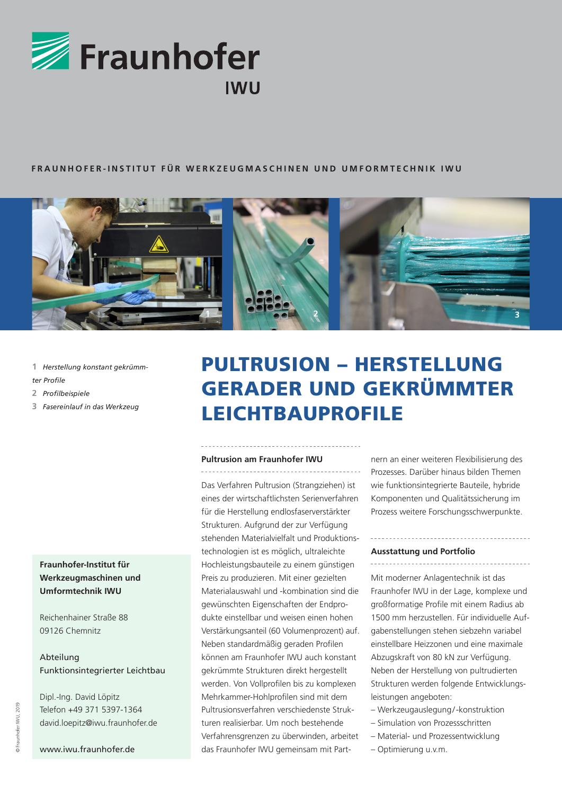

#### **FRAUNHOFER-INSTITUT FÜR WERKZEUGMASCHINEN UND UMFORMTECHNIK IWU**



- **1** *Herstellung konstant gekrümm-*
- *ter Profile*
- **2** *Profilbeispiele*
- **3** *Fasereinlauf in das Werkzeug*

## **Fraunhofer-Institut für Werkzeugmaschinen und Umformtechnik IWU**

Reichenhainer Straße 88 09126 Chemnitz

# Abteilung Funktionsintegrierter Leichtbau

Dipl.-Ing. David Löpitz Telefon +49 371 5397-1364 david.loepitz@iwu.fraunhofer.de

# PULTRUSION – HERSTELLUNG GERADER UND GEKRÜMMTER LEICHTBAUPROFILE

# **Pultrusion am Fraunhofer IWU**

Das Verfahren Pultrusion (Strangziehen) ist eines der wirtschaftlichsten Serienverfahren für die Herstellung endlosfaserverstärkter Strukturen. Aufgrund der zur Verfügung stehenden Materialvielfalt und Produktionstechnologien ist es möglich, ultraleichte Hochleistungsbauteile zu einem günstigen Preis zu produzieren. Mit einer gezielten Materialauswahl und -kombination sind die gewünschten Eigenschaften der Endprodukte einstellbar und weisen einen hohen Verstärkungsanteil (60 Volumenprozent) auf. Neben standardmäßig geraden Profilen können am Fraunhofer IWU auch konstant gekrümmte Strukturen direkt hergestellt werden. Von Vollprofilen bis zu komplexen Mehrkammer-Hohlprofilen sind mit dem Pultrusionsverfahren verschiedenste Strukturen realisierbar. Um noch bestehende Verfahrensgrenzen zu überwinden, arbeitet das Fraunhofer IWU gemeinsam mit Partnern an einer weiteren Flexibilisierung des Prozesses. Darüber hinaus bilden Themen wie funktionsintegrierte Bauteile, hybride Komponenten und Qualitätssicherung im Prozess weitere Forschungsschwerpunkte.

### **Ausstattung und Portfolio**

Mit moderner Anlagentechnik ist das Fraunhofer IWU in der Lage, komplexe und großformatige Profile mit einem Radius ab 1500 mm herzustellen. Für individuelle Aufgabenstellungen stehen siebzehn variabel einstellbare Heizzonen und eine maximale Abzugskraft von 80 kN zur Verfügung. Neben der Herstellung von pultrudierten Strukturen werden folgende Entwicklungsleistungen angeboten:

- Werkzeugauslegung/-konstruktion
- Simulation von Prozessschritten
- Material- und Prozessentwicklung
- Optimierung u.v.m.